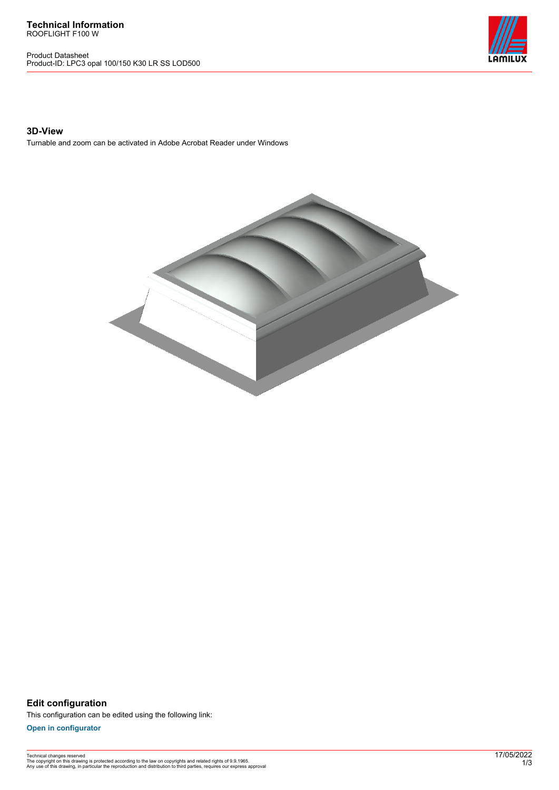**Technical Information** ROOFLIGHT F100 W

Product Datasheet Product-ID: LPC3 opal 100/150 K30 LR SS LOD500



## **3D-View**

Turnable and zoom can be activated in Adobe Acrobat Reader under Windows



**Edit configuration** This configuration can be edited using the following link:

**[Open in configurator](https://bimconfig.lamilux.com//?quickcode=WBBZDV)**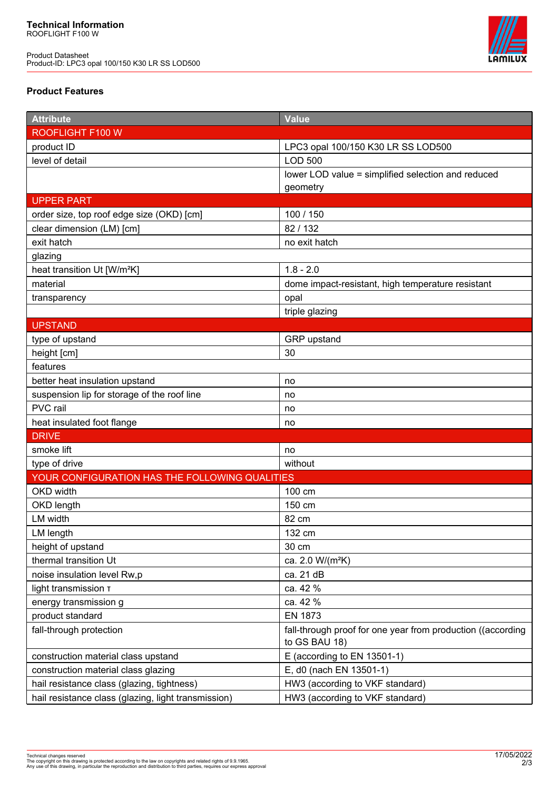Product Datasheet Product-ID: LPC3 opal 100/150 K30 LR SS LOD500



# **Product Features**

| <b>Attribute</b>                                    | <b>Value</b>                                                |
|-----------------------------------------------------|-------------------------------------------------------------|
| ROOFLIGHT F100 W                                    |                                                             |
| product ID                                          | LPC3 opal 100/150 K30 LR SS LOD500                          |
| level of detail                                     | <b>LOD 500</b>                                              |
|                                                     | lower LOD value = simplified selection and reduced          |
|                                                     | geometry                                                    |
| <b>UPPER PART</b>                                   |                                                             |
| order size, top roof edge size (OKD) [cm]           | 100 / 150                                                   |
| clear dimension (LM) [cm]                           | 82/132                                                      |
| exit hatch                                          | no exit hatch                                               |
| glazing                                             |                                                             |
| heat transition Ut [W/m <sup>2</sup> K]             | $1.8 - 2.0$                                                 |
| material                                            | dome impact-resistant, high temperature resistant           |
| transparency                                        | opal                                                        |
|                                                     | triple glazing                                              |
| <b>UPSTAND</b>                                      |                                                             |
| type of upstand                                     | GRP upstand                                                 |
| height [cm]                                         | 30                                                          |
| features                                            |                                                             |
| better heat insulation upstand                      | no                                                          |
| suspension lip for storage of the roof line         | no                                                          |
| PVC rail                                            | no                                                          |
| heat insulated foot flange                          | no                                                          |
| <b>DRIVE</b>                                        |                                                             |
| smoke lift                                          | no                                                          |
| type of drive                                       | without                                                     |
| YOUR CONFIGURATION HAS THE FOLLOWING QUALITIES      |                                                             |
| OKD width                                           | 100 cm                                                      |
| OKD length                                          | 150 cm                                                      |
| LM width                                            | 82 cm                                                       |
| LM length                                           | 132 cm                                                      |
| height of upstand                                   | 30 cm                                                       |
| thermal transition Ut                               | ca. 2.0 W/(m <sup>2</sup> K)                                |
| noise insulation level Rw,p                         | ca. 21 dB                                                   |
| light transmission T                                | ca. 42 %                                                    |
| energy transmission g                               | ca. 42 %                                                    |
| product standard                                    | <b>EN 1873</b>                                              |
| fall-through protection                             | fall-through proof for one year from production ((according |
|                                                     | to GS BAU 18)                                               |
| construction material class upstand                 | E (according to EN 13501-1)                                 |
| construction material class glazing                 | E, d0 (nach EN 13501-1)                                     |
| hail resistance class (glazing, tightness)          | HW3 (according to VKF standard)                             |
| hail resistance class (glazing, light transmission) | HW3 (according to VKF standard)                             |